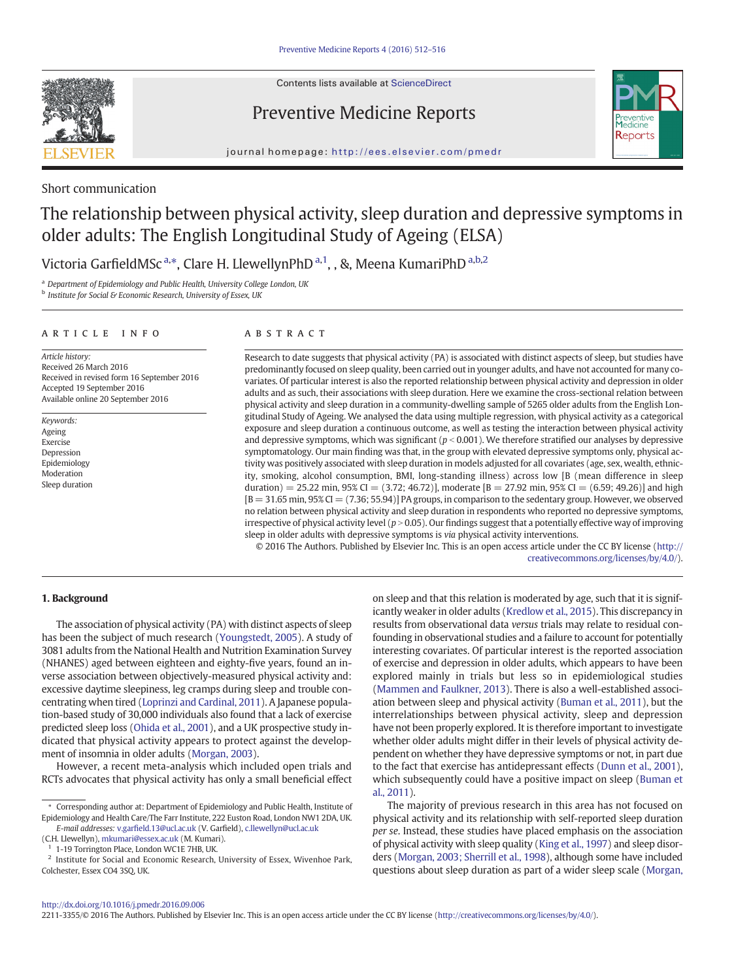

Contents lists available at [ScienceDirect](http://www.sciencedirect.com/science/journal/)

# Preventive Medicine Reports



journal homepage: <http://ees.elsevier.com/pmedr>

# Short communication

# The relationship between physical activity, sleep duration and depressive symptoms in older adults: The English Longitudinal Study of Ageing (ELSA)

Victoria GarfieldMSc<sup>a,\*</sup>, Clare H. LlewellynPhD<sup>a,1</sup>, , &, Meena KumariPhD<sup>a,b,2</sup>

<sup>a</sup> Department of Epidemiology and Public Health, University College London, UK

**b** Institute for Social & Economic Research, University of Essex, UK

# article info abstract

Article history: Received 26 March 2016 Received in revised form 16 September 2016 Accepted 19 September 2016 Available online 20 September 2016

Keywords: Ageing Exercise Depression Epidemiology Moderation Sleep duration

Research to date suggests that physical activity (PA) is associated with distinct aspects of sleep, but studies have predominantly focused on sleep quality, been carried out in younger adults, and have not accounted for many covariates. Of particular interest is also the reported relationship between physical activity and depression in older adults and as such, their associations with sleep duration. Here we examine the cross-sectional relation between physical activity and sleep duration in a community-dwelling sample of 5265 older adults from the English Longitudinal Study of Ageing. We analysed the data using multiple regression, with physical activity as a categorical exposure and sleep duration a continuous outcome, as well as testing the interaction between physical activity and depressive symptoms, which was significant ( $p < 0.001$ ). We therefore stratified our analyses by depressive symptomatology. Our main finding was that, in the group with elevated depressive symptoms only, physical activity was positively associated with sleep duration in models adjusted for all covariates (age, sex, wealth, ethnicity, smoking, alcohol consumption, BMI, long-standing illness) across low [B (mean difference in sleep duration) = 25.22 min, 95% CI = (3.72; 46.72)], moderate [B = 27.92 min, 95% CI = (6.59; 49.26)] and high  $[B = 31.65 \text{ min}, 95\% \text{ CI} = (7.36; 55.94)$  PA groups, in comparison to the sedentary group. However, we observed no relation between physical activity and sleep duration in respondents who reported no depressive symptoms, irrespective of physical activity level ( $p > 0.05$ ). Our findings suggest that a potentially effective way of improving sleep in older adults with depressive symptoms is via physical activity interventions.

© 2016 The Authors. Published by Elsevier Inc. This is an open access article under the CC BY license ([http://](0opyright_ulicense) [creativecommons.org/licenses/by/4.0/](0opyright_ulicense)).

# 1. Background

The association of physical activity (PA) with distinct aspects of sleep has been the subject of much research ([Youngstedt, 2005\)](#page-4-0). A study of 3081 adults from the National Health and Nutrition Examination Survey (NHANES) aged between eighteen and eighty-five years, found an inverse association between objectively-measured physical activity and: excessive daytime sleepiness, leg cramps during sleep and trouble concentrating when tired [\(Loprinzi and Cardinal, 2011](#page-3-0)). A Japanese population-based study of 30,000 individuals also found that a lack of exercise predicted sleep loss [\(Ohida et al., 2001](#page-3-0)), and a UK prospective study indicated that physical activity appears to protect against the development of insomnia in older adults [\(Morgan, 2003\)](#page-3-0).

However, a recent meta-analysis which included open trials and RCTs advocates that physical activity has only a small beneficial effect

(C.H. Llewellyn), [mkumari@essex.ac.uk](mailto:mkumari@essex.ac.uk) (M. Kumari).

<sup>1</sup> 1-19 Torrington Place, London WC1E 7HB, UK.

on sleep and that this relation is moderated by age, such that it is significantly weaker in older adults [\(Kredlow et al., 2015](#page-3-0)). This discrepancy in results from observational data versus trials may relate to residual confounding in observational studies and a failure to account for potentially interesting covariates. Of particular interest is the reported association of exercise and depression in older adults, which appears to have been explored mainly in trials but less so in epidemiological studies [\(Mammen and Faulkner, 2013](#page-3-0)). There is also a well-established association between sleep and physical activity ([Buman et al., 2011\)](#page-3-0), but the interrelationships between physical activity, sleep and depression have not been properly explored. It is therefore important to investigate whether older adults might differ in their levels of physical activity dependent on whether they have depressive symptoms or not, in part due to the fact that exercise has antidepressant effects [\(Dunn et al., 2001](#page-3-0)), which subsequently could have a positive impact on sleep [\(Buman et](#page-3-0) [al., 2011](#page-3-0)).

The majority of previous research in this area has not focused on physical activity and its relationship with self-reported sleep duration per se. Instead, these studies have placed emphasis on the association of physical activity with sleep quality [\(King et al., 1997\)](#page-3-0) and sleep disorders [\(Morgan, 2003; Sherrill et al., 1998\)](#page-3-0), although some have included questions about sleep duration as part of a wider sleep scale [\(Morgan,](#page-3-0)

#### <http://dx.doi.org/10.1016/j.pmedr.2016.09.006>

2211-3355/© 2016 The Authors. Published by Elsevier Inc. This is an open access article under the CC BY license [\(http://creativecommons.org/licenses/by/4.0/](0opyright_ulicense)).

<sup>⁎</sup> Corresponding author at: Department of Epidemiology and Public Health, Institute of Epidemiology and Health Care/The Farr Institute, 222 Euston Road, London NW1 2DA, UK. E-mail addresses: v.garfield.13@ucl.ac.uk (V. Garfield), c.llewellyn@ucl.ac.uk

<sup>2</sup> Institute for Social and Economic Research, University of Essex, Wivenhoe Park, Colchester, Essex CO4 3SQ, UK.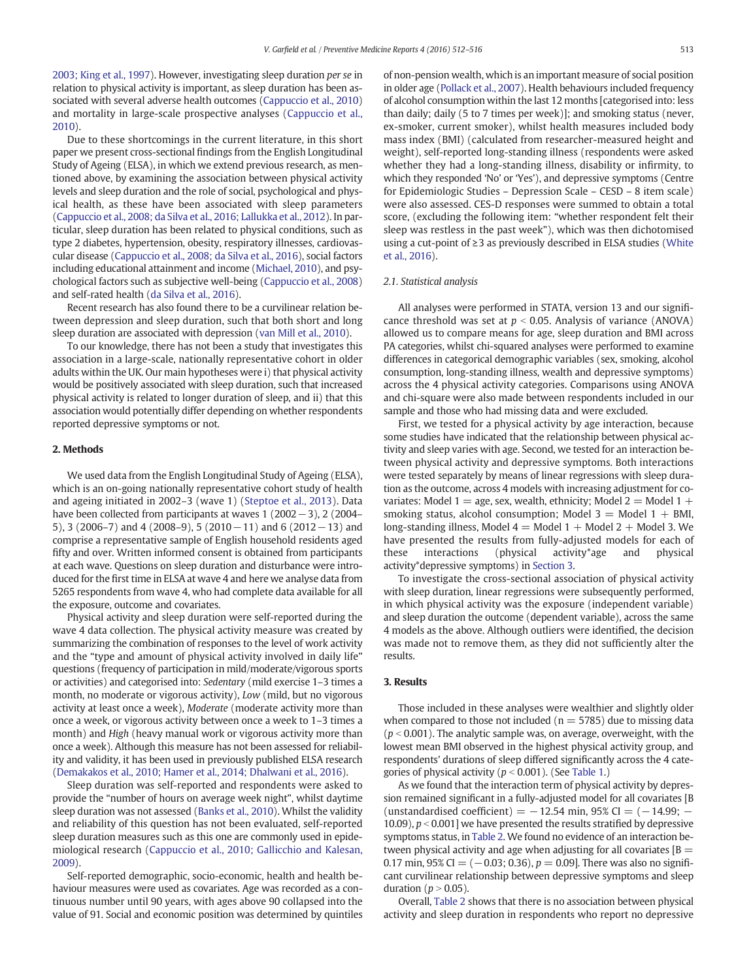[2003; King et al., 1997](#page-3-0)). However, investigating sleep duration per se in relation to physical activity is important, as sleep duration has been associated with several adverse health outcomes [\(Cappuccio et al., 2010](#page-3-0)) and mortality in large-scale prospective analyses ([Cappuccio et al.,](#page-3-0) [2010](#page-3-0)).

Due to these shortcomings in the current literature, in this short paper we present cross-sectional findings from the English Longitudinal Study of Ageing (ELSA), in which we extend previous research, as mentioned above, by examining the association between physical activity levels and sleep duration and the role of social, psychological and physical health, as these have been associated with sleep parameters [\(Cappuccio et al., 2008; da Silva et al., 2016; Lallukka et al., 2012](#page-3-0)). In particular, sleep duration has been related to physical conditions, such as type 2 diabetes, hypertension, obesity, respiratory illnesses, cardiovascular disease [\(Cappuccio et al., 2008; da Silva et al., 2016](#page-3-0)), social factors including educational attainment and income [\(Michael, 2010](#page-3-0)), and psychological factors such as subjective well-being ([Cappuccio et al., 2008](#page-3-0)) and self-rated health ([da Silva et al., 2016\)](#page-3-0).

Recent research has also found there to be a curvilinear relation between depression and sleep duration, such that both short and long sleep duration are associated with depression ([van Mill et al., 2010\)](#page-4-0).

To our knowledge, there has not been a study that investigates this association in a large-scale, nationally representative cohort in older adults within the UK. Our main hypotheses were i) that physical activity would be positively associated with sleep duration, such that increased physical activity is related to longer duration of sleep, and ii) that this association would potentially differ depending on whether respondents reported depressive symptoms or not.

## 2. Methods

We used data from the English Longitudinal Study of Ageing (ELSA), which is an on-going nationally representative cohort study of health and ageing initiated in 2002–3 (wave 1) [\(Steptoe et al., 2013\)](#page-4-0). Data have been collected from participants at waves 1 (2002−3), 2 (2004– 5), 3 (2006–7) and 4 (2008–9), 5 (2010–11) and 6 (2012–13) and comprise a representative sample of English household residents aged fifty and over. Written informed consent is obtained from participants at each wave. Questions on sleep duration and disturbance were introduced for the first time in ELSA at wave 4 and here we analyse data from 5265 respondents from wave 4, who had complete data available for all the exposure, outcome and covariates.

Physical activity and sleep duration were self-reported during the wave 4 data collection. The physical activity measure was created by summarizing the combination of responses to the level of work activity and the "type and amount of physical activity involved in daily life" questions (frequency of participation in mild/moderate/vigorous sports or activities) and categorised into: Sedentary (mild exercise 1–3 times a month, no moderate or vigorous activity), Low (mild, but no vigorous activity at least once a week), Moderate (moderate activity more than once a week, or vigorous activity between once a week to 1–3 times a month) and High (heavy manual work or vigorous activity more than once a week). Although this measure has not been assessed for reliability and validity, it has been used in previously published ELSA research [\(Demakakos et al., 2010; Hamer et al., 2014; Dhalwani et al., 2016\)](#page-3-0).

Sleep duration was self-reported and respondents were asked to provide the "number of hours on average week night", whilst daytime sleep duration was not assessed [\(Banks et al., 2010](#page-3-0)). Whilst the validity and reliability of this question has not been evaluated, self-reported sleep duration measures such as this one are commonly used in epidemiological research ([Cappuccio et al., 2010; Gallicchio and Kalesan,](#page-3-0) [2009](#page-3-0)).

Self-reported demographic, socio-economic, health and health behaviour measures were used as covariates. Age was recorded as a continuous number until 90 years, with ages above 90 collapsed into the value of 91. Social and economic position was determined by quintiles of non-pension wealth, which is an important measure of social position in older age ([Pollack et al., 2007\)](#page-3-0). Health behaviours included frequency of alcohol consumption within the last 12 months [categorised into: less than daily; daily (5 to 7 times per week)]; and smoking status (never, ex-smoker, current smoker), whilst health measures included body mass index (BMI) (calculated from researcher-measured height and weight), self-reported long-standing illness (respondents were asked whether they had a long-standing illness, disability or infirmity, to which they responded 'No' or 'Yes'), and depressive symptoms (Centre for Epidemiologic Studies – Depression Scale – CESD – 8 item scale) were also assessed. CES-D responses were summed to obtain a total score, (excluding the following item: "whether respondent felt their sleep was restless in the past week"), which was then dichotomised using a cut-point of ≥3 as previously described in ELSA studies [\(White](#page-4-0) [et al., 2016](#page-4-0)).

# 2.1. Statistical analysis

All analyses were performed in STATA, version 13 and our significance threshold was set at  $p < 0.05$ . Analysis of variance (ANOVA) allowed us to compare means for age, sleep duration and BMI across PA categories, whilst chi-squared analyses were performed to examine differences in categorical demographic variables (sex, smoking, alcohol consumption, long-standing illness, wealth and depressive symptoms) across the 4 physical activity categories. Comparisons using ANOVA and chi-square were also made between respondents included in our sample and those who had missing data and were excluded.

First, we tested for a physical activity by age interaction, because some studies have indicated that the relationship between physical activity and sleep varies with age. Second, we tested for an interaction between physical activity and depressive symptoms. Both interactions were tested separately by means of linear regressions with sleep duration as the outcome, across 4 models with increasing adjustment for covariates: Model 1 = age, sex, wealth, ethnicity; Model 2 = Model 1 + smoking status, alcohol consumption; Model  $3 =$  Model  $1 +$  BMI, long-standing illness, Model  $4 =$  Model  $1 +$  Model  $2 +$  Model 3. We have presented the results from fully-adjusted models for each of these interactions (physical activity\*age and physical activity\*depressive symptoms) in Section 3.

To investigate the cross-sectional association of physical activity with sleep duration, linear regressions were subsequently performed, in which physical activity was the exposure (independent variable) and sleep duration the outcome (dependent variable), across the same 4 models as the above. Although outliers were identified, the decision was made not to remove them, as they did not sufficiently alter the results.

# 3. Results

Those included in these analyses were wealthier and slightly older when compared to those not included ( $n = 5785$ ) due to missing data  $(p < 0.001)$ . The analytic sample was, on average, overweight, with the lowest mean BMI observed in the highest physical activity group, and respondents' durations of sleep differed significantly across the 4 categories of physical activity ( $p < 0.001$ ). (See [Table 1.](#page-2-0))

As we found that the interaction term of physical activity by depression remained significant in a fully-adjusted model for all covariates [B (unstandardised coefficient) =  $-12.54$  min, 95% CI =  $(-14.99;$  -10.09),  $p < 0.001$ ] we have presented the results stratified by depressive symptoms status, in [Table 2](#page-3-0). We found no evidence of an interaction between physical activity and age when adjusting for all covariates  $[B =$ 0.17 min, 95% CI =  $(-0.03; 0.36)$ ,  $p = 0.09$ ]. There was also no significant curvilinear relationship between depressive symptoms and sleep duration ( $p > 0.05$ ).

Overall, [Table 2](#page-3-0) shows that there is no association between physical activity and sleep duration in respondents who report no depressive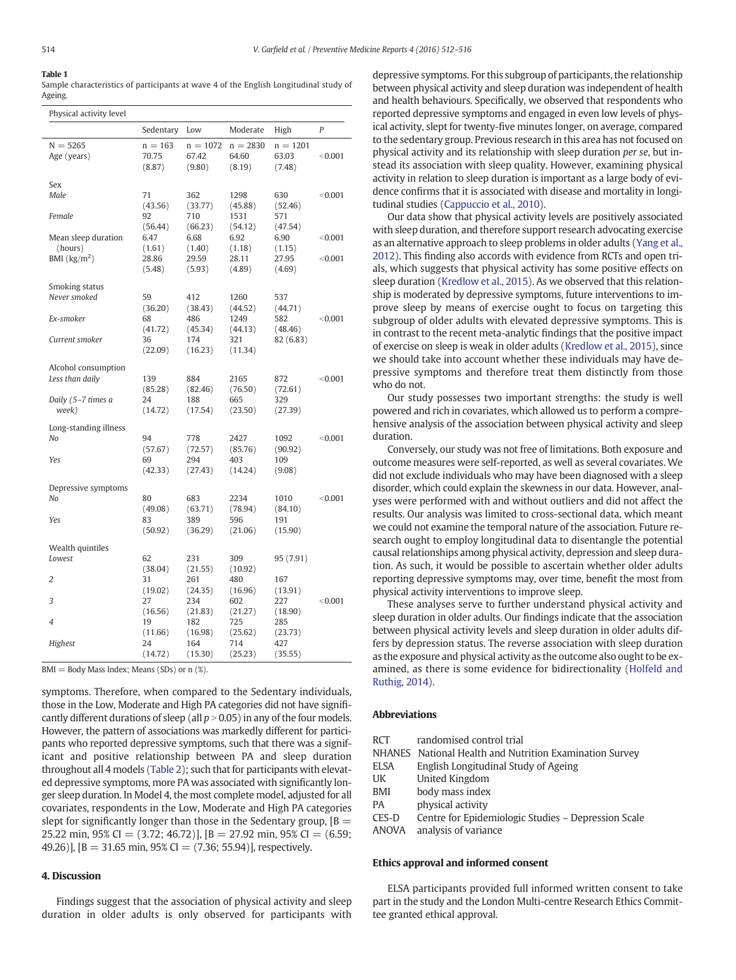# <span id="page-2-0"></span>Table 1

Sample characteristics of participants at wave 4 of the English Longitudinal study of Ageing.

| Physical activity level                                             |                              |                               |                               |                               |                    |  |  |
|---------------------------------------------------------------------|------------------------------|-------------------------------|-------------------------------|-------------------------------|--------------------|--|--|
|                                                                     | Sedentary                    | Low                           | Moderate                      | High                          | P                  |  |  |
| $N = 5265$<br>Age (years)                                           | $n = 163$<br>70.75<br>(8.87) | $n = 1072$<br>67.42<br>(9.80) | $n = 2830$<br>64.60<br>(8.19) | $n = 1201$<br>63.03<br>(7.48) | < 0.001            |  |  |
| Sex<br>Male                                                         | 71<br>(43.56)                | 362<br>(33.77)                | 1298<br>(45.88)               | 630<br>(52.46)                | < 0.001            |  |  |
| Female                                                              | 92<br>(56.44)                | 710<br>(66.23)                | 1531<br>(54.12)               | 571<br>(47.54)                |                    |  |  |
| Mean sleep duration<br>(hours)<br>BMI $\left(\frac{kg}{m^2}\right)$ | 6.47<br>(1.61)<br>28.86      | 6.68<br>(1.40)<br>29.59       | 6.92<br>(1.18)<br>28.11       | 6.90<br>(1.15)                | < 0.001<br>< 0.001 |  |  |
|                                                                     | (5.48)                       | (5.93)                        | (4.89)                        | 27.95<br>(4.69)               |                    |  |  |
| Smoking status<br>Never smoked                                      | 59<br>(36.20)                | 412<br>(38.43)                | 1260<br>(44.52)               | 537<br>(44.71)                |                    |  |  |
| Ex-smoker                                                           | 68<br>(41.72)                | 486<br>(45.34)                | 1249<br>(44.13)               | 582<br>(48.46)                | < 0.001            |  |  |
| Current smoker                                                      | 36<br>(22.09)                | 174<br>(16.23)                | 321<br>(11.34)                | 82 (6.83)                     |                    |  |  |
| Alcohol consumption<br>Less than daily                              | 139                          | 884                           | 2165                          | 872                           | < 0.001            |  |  |
| Daily (5-7 times a<br>week)                                         | (85.28)<br>24<br>(14.72)     | (82.46)<br>188<br>(17.54)     | (76.50)<br>665<br>(23.50)     | (72.61)<br>329<br>(27.39)     |                    |  |  |
| Long-standing illness                                               |                              |                               |                               |                               |                    |  |  |
| No<br>Yes                                                           | 94<br>(57.67)<br>69          | 778<br>(72.57)<br>294         | 2427<br>(85.76)<br>403        | 1092<br>(90.92)<br>109        | < 0.001            |  |  |
|                                                                     | (42.33)                      | (27.43)                       | (14.24)                       | (9.08)                        |                    |  |  |
| Depressive symptoms<br>No                                           | 80                           | 683                           | 2234                          | 1010                          | < 0.001            |  |  |
| Yes                                                                 | (49.08)<br>83<br>(50.92)     | (63.71)<br>389<br>(36.29)     | (78.94)<br>596<br>(21.06)     | (84.10)<br>191<br>(15.90)     |                    |  |  |
| Wealth quintiles                                                    |                              |                               |                               |                               |                    |  |  |
| Lowest                                                              | 62<br>(38.04)                | 231<br>(21.55)                | 309<br>(10.92)                | 95 (7.91)                     |                    |  |  |
| 2                                                                   | 31<br>(19.02)                | 261<br>(24.35)                | 480<br>(16.96)                | 167<br>(13.91)                |                    |  |  |
| 3<br>$\overline{4}$                                                 | 27<br>(16.56)<br>19          | 234<br>(21.83)<br>182         | 602<br>(21.27)<br>725         | 227<br>(18.90)<br>285         | < 0.001            |  |  |
| Highest                                                             | (11.66)<br>24                | (16.98)<br>164                | (25.62)<br>714                | (23.73)<br>427                |                    |  |  |
|                                                                     | (14.72)                      | (15.30)                       | (25.23)                       | (35.55)                       |                    |  |  |

 $BMI = Body Mass Index; Means (SDs) or n ( $\%$ ).$ 

symptoms. Therefore, when compared to the Sedentary individuals, those in the Low, Moderate and High PA categories did not have significantly different durations of sleep (all  $p > 0.05$ ) in any of the four models. However, the pattern of associations was markedly different for participants who reported depressive symptoms, such that there was a significant and positive relationship between PA and sleep duration throughout all 4 models [\(Table 2\)](#page-3-0); such that for participants with elevated depressive symptoms, more PA was associated with significantly longer sleep duration. In Model 4, the most complete model, adjusted for all covariates, respondents in the Low, Moderate and High PA categories slept for significantly longer than those in the Sedentary group,  $[B =$ 25.22 min, 95% CI =  $(3.72; 46.72)$ ], [B = 27.92 min, 95% CI =  $(6.59;$ 49.26)],  $[B = 31.65 \text{ min}, 95\% \text{ CI} = (7.36; 55.94)$ ], respectively.

# 4. Discussion

Findings suggest that the association of physical activity and sleep duration in older adults is only observed for participants with depressive symptoms. For this subgroup of participants, the relationship between physical activity and sleep duration was independent of health and health behaviours. Specifically, we observed that respondents who reported depressive symptoms and engaged in even low levels of physical activity, slept for twenty-five minutes longer, on average, compared to the sedentary group. Previous research in this area has not focused on physical activity and its relationship with sleep duration per se, but instead its association with sleep quality. However, examining physical activity in relation to sleep duration is important as a large body of evidence confirms that it is associated with disease and mortality in longitudinal studies ([Cappuccio et al., 2010\)](#page-3-0).

Our data show that physical activity levels are positively associated with sleep duration, and therefore support research advocating exercise as an alternative approach to sleep problems in older adults [\(Yang et al.,](#page-4-0) [2012\)](#page-4-0). This finding also accords with evidence from RCTs and open trials, which suggests that physical activity has some positive effects on sleep duration ([Kredlow et al., 2015](#page-3-0)). As we observed that this relationship is moderated by depressive symptoms, future interventions to improve sleep by means of exercise ought to focus on targeting this subgroup of older adults with elevated depressive symptoms. This is in contrast to the recent meta-analytic findings that the positive impact of exercise on sleep is weak in older adults [\(Kredlow et al., 2015\)](#page-3-0), since we should take into account whether these individuals may have depressive symptoms and therefore treat them distinctly from those who do not.

Our study possesses two important strengths: the study is well powered and rich in covariates, which allowed us to perform a comprehensive analysis of the association between physical activity and sleep duration.

Conversely, our study was not free of limitations. Both exposure and outcome measures were self-reported, as well as several covariates. We did not exclude individuals who may have been diagnosed with a sleep disorder, which could explain the skewness in our data. However, analyses were performed with and without outliers and did not affect the results. Our analysis was limited to cross-sectional data, which meant we could not examine the temporal nature of the association. Future research ought to employ longitudinal data to disentangle the potential causal relationships among physical activity, depression and sleep duration. As such, it would be possible to ascertain whether older adults reporting depressive symptoms may, over time, benefit the most from physical activity interventions to improve sleep.

These analyses serve to further understand physical activity and sleep duration in older adults. Our findings indicate that the association between physical activity levels and sleep duration in older adults differs by depression status. The reverse association with sleep duration as the exposure and physical activity as the outcome also ought to be examined, as there is some evidence for bidirectionality [\(Holfeld and](#page-3-0) [Ruthig, 2014\)](#page-3-0).

# Abbreviations

| <b>RCT</b> | randomised control trial                                |
|------------|---------------------------------------------------------|
|            | NHANES National Health and Nutrition Examination Survey |
| ELSA       | English Longitudinal Study of Ageing                    |
| UK         | United Kingdom                                          |
| BMI        | body mass index                                         |
| РA         | physical activity                                       |
| CES-D      | Centre for Epidemiologic Studies - Depression Scale     |
| ANOVA      | analysis of variance                                    |
|            |                                                         |

#### Ethics approval and informed consent

ELSA participants provided full informed written consent to take part in the study and the London Multi-centre Research Ethics Committee granted ethical approval.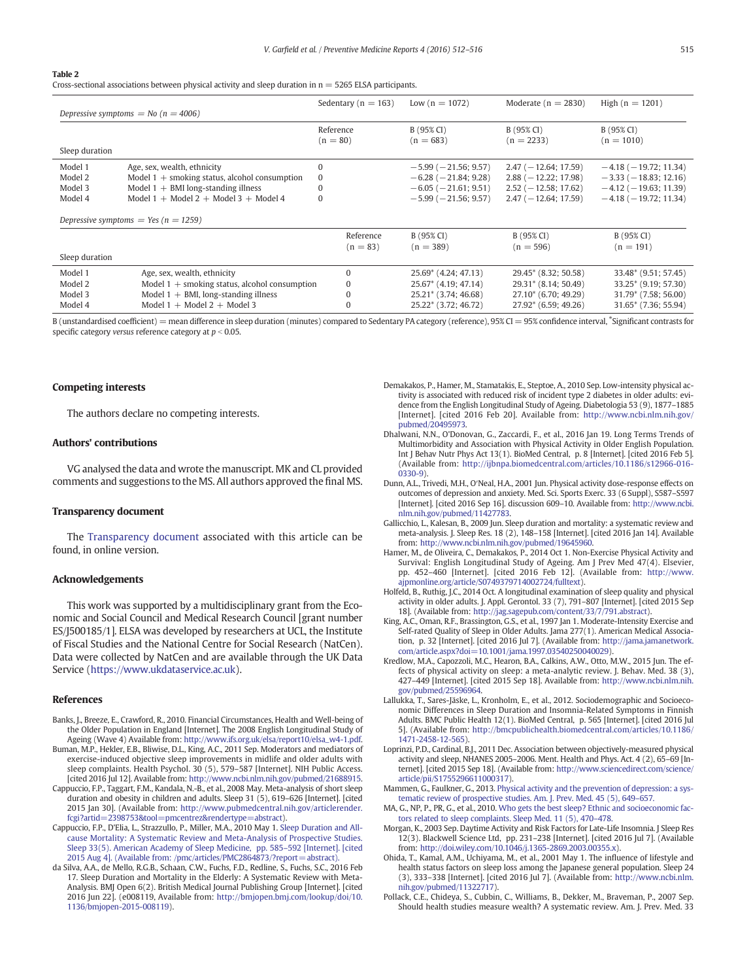#### <span id="page-3-0"></span>Table 2

Cross-sectional associations between physical activity and sleep duration in  $n = 5265$  ELSA participants.

|                                          |                                                 | Sedentary ( $n = 163$ ) | Low $(n = 1072)$           | Moderate ( $n = 2830$ ) | High $(n = 1201)$           |  |  |
|------------------------------------------|-------------------------------------------------|-------------------------|----------------------------|-------------------------|-----------------------------|--|--|
| Depressive symptoms = No $(n = 4006)$    |                                                 |                         |                            |                         |                             |  |  |
|                                          |                                                 | Reference               | B (95% CI)                 | B (95% CI)              | B (95% CI)                  |  |  |
|                                          |                                                 | $(n = 80)$              | $(n = 683)$                | $(n = 2233)$            | $(n = 1010)$                |  |  |
| Sleep duration                           |                                                 |                         |                            |                         |                             |  |  |
| Model 1                                  | Age, sex, wealth, ethnicity                     | $\Omega$                | $-5.99(-21.56; 9.57)$      | $2.47 (-12.64; 17.59)$  | $-4.18$ ( $-19.72$ ; 11.34) |  |  |
| Model 2                                  | Model $1 +$ smoking status, alcohol consumption | $\bf{0}$                | $-6.28$ ( $-21.84$ ; 9.28) | $2.88(-12.22; 17.98)$   | $-3.33(-18.83; 12.16)$      |  |  |
| Model 3                                  | Model $1 +$ BMI long-standing illness           | 0                       | $-6.05$ ( $-21.61$ ; 9.51) | $2.52 (-12.58; 17.62)$  | $-4.12$ ( $-19.63$ ; 11.39) |  |  |
| Model 4                                  | Model $1 +$ Model $2 +$ Model $3 +$ Model $4$   | $\Omega$                | $-5.99$ ( $-21.56$ ; 9.57) | $2.47 (-12.64; 17.59)$  | $-4.18$ ( $-19.72$ ; 11.34) |  |  |
| Depressive symptoms = Yes ( $n = 1259$ ) |                                                 |                         |                            |                         |                             |  |  |
|                                          |                                                 | Reference               | B (95% CI)                 | B (95% CI)              | B (95% CI)                  |  |  |
|                                          |                                                 | $(n = 83)$              | $(n = 389)$                | $(n = 596)$             | $(n = 191)$                 |  |  |
| Sleep duration                           |                                                 |                         |                            |                         |                             |  |  |
| Model 1                                  | Age, sex, wealth, ethnicity                     | $\Omega$                | $25.69^*$ (4.24; 47.13)    | $29.45*$ (8.32; 50.58)  | 33.48 * (9.51; 57.45)       |  |  |
| Model 2                                  | Model $1 +$ smoking status, alcohol consumption |                         | $25.67^*$ (4.19; 47.14)    | 29.31* (8.14; 50.49)    | 33.25* (9.19; 57.30)        |  |  |
| Model 3                                  | Model $1 +$ BMI, long-standing illness          |                         | 25.21* (3.74; 46.68)       | 27.10* (6.70; 49.29)    | 31.79* (7.58; 56.00)        |  |  |
| Model 4                                  | Model $1 +$ Model $2 +$ Model 3                 | 0                       | 25.22* (3.72; 46.72)       | $27.92^*$ (6.59; 49.26) | 31.65* (7.36; 55.94)        |  |  |

B (unstandardised coefficient) = mean difference in sleep duration (minutes) compared to Sedentary PA category (reference), 95% CI = 95% confidence interval. \*Significant contrasts for specific category versus reference category at  $p < 0.05$ .

# Competing interests

The authors declare no competing interests.

# Authors' contributions

VG analysed the data and wrote the manuscript. MK and CL provided comments and suggestions to the MS. All authors approved the final MS.

#### Transparency document

The [Transparency document](http://dx.doi.org/10.1016/j.pmedr.2016.09.006) associated with this article can be found, in online version.

# Acknowledgements

This work was supported by a multidisciplinary grant from the Economic and Social Council and Medical Research Council [grant number ES/J500185/1]. ELSA was developed by researchers at UCL, the Institute of Fiscal Studies and the National Centre for Social Research (NatCen). Data were collected by NatCen and are available through the UK Data Service [\(https://www.ukdataservice.ac.uk\)](https://www.ukdataservice.ac.uk).

## References

- Banks, J., Breeze, E., Crawford, R., 2010. Financial Circumstances, Health and Well-being of the Older Population in England [Internet]. The 2008 English Longitudinal Study of Ageing (Wave 4) Available from: [http://www.ifs.org.uk/elsa/report10/elsa\\_w4-1.pdf](http://www.ifs.org.uk/elsa/report10/elsa_w4-1.pdf).
- Buman, M.P., Hekler, E.B., Bliwise, D.L., King, A.C., 2011 Sep. Moderators and mediators of exercise-induced objective sleep improvements in midlife and older adults with sleep complaints. Health Psychol. 30 (5), 579–587 [Internet]. NIH Public Access. [cited 2016 Jul 12]. Available from: <http://www.ncbi.nlm.nih.gov/pubmed/21688915>.
- Cappuccio, F.P., Taggart, F.M., Kandala, N.-B., et al., 2008 May. Meta-analysis of short sleep duration and obesity in children and adults. Sleep 31 (5), 619–626 [Internet]. [cited 2015 Jan 30]. (Available from: [http://www.pubmedcentral.nih.gov/articlerender.](http://www.pubmedcentral.nih.gov/articlerender.fcgi?artid=2398753&tool=pmcentrez&rendertype=abstract) [fcgi?artid=2398753&tool=pmcentrez&rendertype=abstract](http://www.pubmedcentral.nih.gov/articlerender.fcgi?artid=2398753&tool=pmcentrez&rendertype=abstract)).
- Cappuccio, F.P., D'Elia, L., Strazzullo, P., Miller, M.A., 2010 May 1. [Sleep Duration and All](http://refhub.elsevier.com/S2211-3355(16)30112-7/rf0020)[cause Mortality: A Systematic Review and Meta-Analysis of Prospective Studies.](http://refhub.elsevier.com/S2211-3355(16)30112-7/rf0020) [Sleep 33\(5\). American Academy of Sleep Medicine, pp. 585](http://refhub.elsevier.com/S2211-3355(16)30112-7/rf0020)–592 [Internet]. [cited [2015 Aug 4\]. \(Available from: /pmc/articles/PMC2864873/?report=abstract\).](http://refhub.elsevier.com/S2211-3355(16)30112-7/rf0020)
- da Silva, A.A., de Mello, R.G.B., Schaan, C.W., Fuchs, F.D., Redline, S., Fuchs, S.C., 2016 Feb 17. Sleep Duration and Mortality in the Elderly: A Systematic Review with Meta-Analysis. BMJ Open 6(2). British Medical Journal Publishing Group [Internet]. [cited 2016 Jun 22]. (e008119, Available from: http://bmjopen.bmj.com/lookup/doi/10. 1136/bmjopen-2015-008119).
- Demakakos, P., Hamer, M., Stamatakis, E., Steptoe, A., 2010 Sep. Low-intensity physical activity is associated with reduced risk of incident type 2 diabetes in older adults: evidence from the English Longitudinal Study of Ageing. Diabetologia 53 (9), 1877–1885 [Internet]. [cited 2016 Feb 20]. Available from: [http://www.ncbi.nlm.nih.gov/](http://www.ncbi.nlm.nih.gov/pubmed/20495973) [pubmed/20495973.](http://www.ncbi.nlm.nih.gov/pubmed/20495973)
- Dhalwani, N.N., O'Donovan, G., Zaccardi, F., et al., 2016 Jan 19. Long Terms Trends of Multimorbidity and Association with Physical Activity in Older English Population. Int J Behav Nutr Phys Act 13(1). BioMed Central, p. 8 [Internet]. [cited 2016 Feb 5]. (Available from: [http://ijbnpa.biomedcentral.com/articles/10.1186/s12966-016-](http://ijbnpa.biomedcentral.com/articles/10.1186/s12966-016-0330-9) [0330-9\)](http://ijbnpa.biomedcentral.com/articles/10.1186/s12966-016-0330-9).
- Dunn, A.L., Trivedi, M.H., O′Neal, H.A., 2001 Jun. Physical activity dose-response effects on outcomes of depression and anxiety. Med. Sci. Sports Exerc. 33 (6 Suppl), S587–S597 [Internet]. [cited 2016 Sep 16]. discussion 609–10. Available from: [http://www.ncbi.](http://www.ncbi.nlm.nih.gov/pubmed/11427783) [nlm.nih.gov/pubmed/11427783](http://www.ncbi.nlm.nih.gov/pubmed/11427783).
- Gallicchio, L., Kalesan, B., 2009 Jun. Sleep duration and mortality: a systematic review and meta-analysis. J. Sleep Res. 18 (2), 148–158 [Internet]. [cited 2016 Jan 14]. Available from: <http://www.ncbi.nlm.nih.gov/pubmed/19645960>.
- Hamer, M., de Oliveira, C., Demakakos, P., 2014 Oct 1. Non-Exercise Physical Activity and Survival: English Longitudinal Study of Ageing. Am J Prev Med 47(4). Elsevier, pp. 452–460 [Internet]. [cited 2016 Feb 12]. (Available from: [http://www.](http://www.ajpmonline.org/article/S0749379714002724/fulltext) [ajpmonline.org/article/S0749379714002724/fulltext\)](http://www.ajpmonline.org/article/S0749379714002724/fulltext).
- Holfeld, B., Ruthig, J.C., 2014 Oct. A longitudinal examination of sleep quality and physical activity in older adults. J. Appl. Gerontol. 33 (7), 791–807 [Internet]. [cited 2015 Sep 18]. (Available from: [http://jag.sagepub.com/content/33/7/791.abstract\)](http://jag.sagepub.com/content/33/7/791.abstract).
- King, A.C., Oman, R.F., Brassington, G.S., et al., 1997 Jan 1. Moderate-Intensity Exercise and Self-rated Quality of Sleep in Older Adults. Jama 277(1). American Medical Association, p. 32 [Internet]. [cited 2016 Jul 7]. (Available from: http://jama.jamanetwork. com/article.aspx?doi=10.1001/jama.1997.03540250040029).
- Kredlow, M.A., Capozzoli, M.C., Hearon, B.A., Calkins, A.W., Otto, M.W., 2015 Jun. The effects of physical activity on sleep: a meta-analytic review. J. Behav. Med. 38 (3), 427–449 [Internet]. [cited 2015 Sep 18]. Available from: [http://www.ncbi.nlm.nih.](http://www.ncbi.nlm.nih.gov/pubmed/25596964) [gov/pubmed/25596964](http://www.ncbi.nlm.nih.gov/pubmed/25596964).
- Lallukka, T., Sares-Jäske, L., Kronholm, E., et al., 2012. Sociodemographic and Socioeconomic Differences in Sleep Duration and Insomnia-Related Symptoms in Finnish Adults. BMC Public Health 12(1). BioMed Central, p. 565 [Internet]. [cited 2016 Jul 5]. (Available from: [http://bmcpublichealth.biomedcentral.com/articles/10.1186/](http://bmcpublichealth.biomedcentral.com/articles/10.1186/1471-2458-12-565) [1471-2458-12-565](http://bmcpublichealth.biomedcentral.com/articles/10.1186/1471-2458-12-565)).
- Loprinzi, P.D., Cardinal, B.J., 2011 Dec. Association between objectively-measured physical activity and sleep, NHANES 2005–2006. Ment. Health and Phys. Act. 4 (2), 65–69 [Internet]. [cited 2015 Sep 18]. (Available from: [http://www.sciencedirect.com/science/](http://www.sciencedirect.com/science/article/pii/S1755296611000317) [article/pii/S1755296611000317\)](http://www.sciencedirect.com/science/article/pii/S1755296611000317).
- Mammen, G., Faulkner, G., 2013. [Physical activity and the prevention of depression: a sys](http://refhub.elsevier.com/S2211-3355(16)30112-7/rf0080)[tematic review of prospective studies. Am. J. Prev. Med. 45 \(5\), 649](http://refhub.elsevier.com/S2211-3355(16)30112-7/rf0080)–657.
- MA, G., NP, P., PR, G., et al., 2010. [Who gets the best sleep? Ethnic and socioeconomic fac](http://refhub.elsevier.com/S2211-3355(16)30112-7/rf0085)[tors related to sleep complaints. Sleep Med. 11 \(5\), 470](http://refhub.elsevier.com/S2211-3355(16)30112-7/rf0085)–478.
- Morgan, K., 2003 Sep. Daytime Activity and Risk Factors for Late-Life Insomnia. J Sleep Res 12(3). Blackwell Science Ltd, pp. 231–238 [Internet]. [cited 2016 Jul 7]. (Available from: http://doi.wiley.com/10.1046/j.1365-2869.2003.00355.x).
- Ohida, T., Kamal, A.M., Uchiyama, M., et al., 2001 May 1. The influence of lifestyle and health status factors on sleep loss among the Japanese general population. Sleep 24 (3), 333–338 [Internet]. [cited 2016 Jul 7]. (Available from: [http://www.ncbi.nlm.](http://www.ncbi.nlm.nih.gov/pubmed/11322717) [nih.gov/pubmed/11322717\)](http://www.ncbi.nlm.nih.gov/pubmed/11322717).
- Pollack, C.E., Chideya, S., Cubbin, C., Williams, B., Dekker, M., Braveman, P., 2007 Sep. Should health studies measure wealth? A systematic review. Am. J. Prev. Med. 33